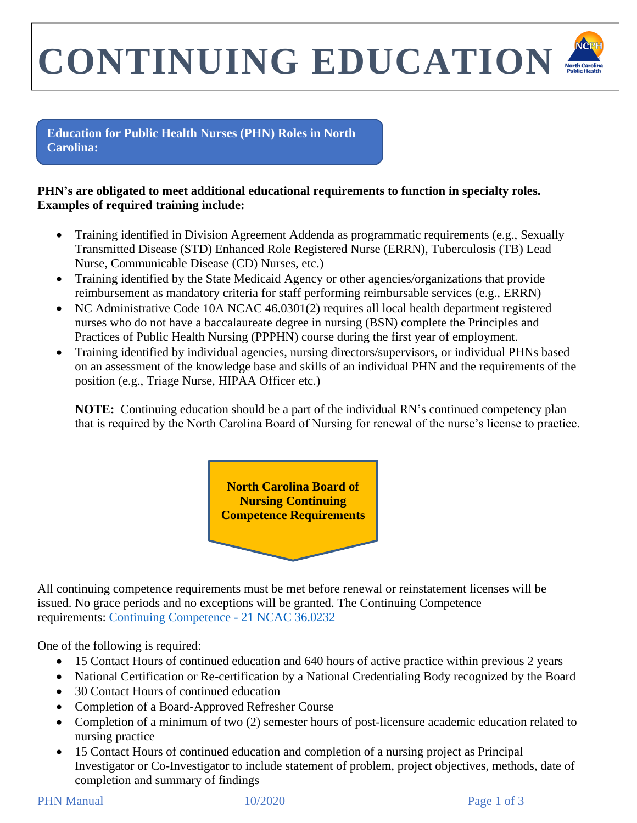## **CONTINUING EDUCATION**

**Education for Public Health Nurses (PHN) Roles in North Carolina:**

## **PHN's are obligated to meet additional educational requirements to function in specialty roles. Examples of required training include:**

- Training identified in Division Agreement Addenda as programmatic requirements (e.g., Sexually Transmitted Disease (STD) Enhanced Role Registered Nurse (ERRN), Tuberculosis (TB) Lead Nurse, Communicable Disease (CD) Nurses, etc.)
- Training identified by the State Medicaid Agency or other agencies/organizations that provide reimbursement as mandatory criteria for staff performing reimbursable services (e.g., ERRN)
- NC Administrative Code 10A NCAC 46.0301(2) requires all local health department registered nurses who do not have a baccalaureate degree in nursing (BSN) complete the Principles and Practices of Public Health Nursing (PPPHN) course during the first year of employment.
- Training identified by individual agencies, nursing directors/supervisors, or individual PHNs based on an assessment of the knowledge base and skills of an individual PHN and the requirements of the position (e.g., Triage Nurse, HIPAA Officer etc.)

**NOTE:** Continuing education should be a part of the individual RN's continued competency plan that is required by the North Carolina Board of Nursing for renewal of the nurse's license to practice.



All continuing competence requirements must be met before renewal or reinstatement licenses will be issued. No grace periods and no exceptions will be granted. The Continuing Competence requirements: [Continuing Competence -](https://www.ncbon.com/licensure-listing-continuing-competence-continuing-competence-requirements) 21 NCAC 36.0232

One of the following is required:

- 15 Contact Hours of continued education and 640 hours of active practice within previous 2 years
- National Certification or Re-certification by a National Credentialing Body recognized by the Board
- 30 Contact Hours of continued education
- Completion of a Board-Approved Refresher Course
- Completion of a minimum of two (2) semester hours of post-licensure academic education related to nursing practice
- 15 Contact Hours of continued education and completion of a nursing project as Principal Investigator or Co-Investigator to include statement of problem, project objectives, methods, date of completion and summary of findings

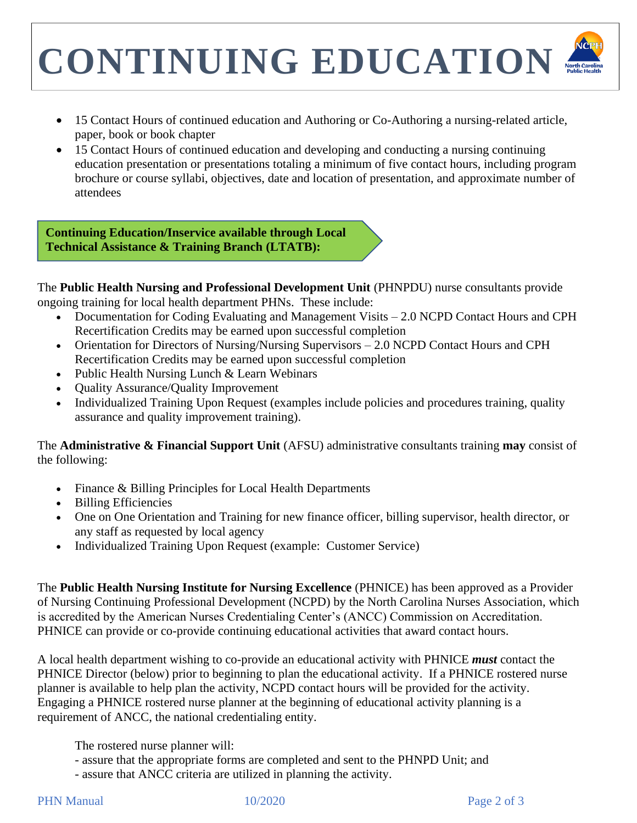## **CONTINUING EDUCATION**

- 15 Contact Hours of continued education and Authoring or Co-Authoring a nursing-related article, paper, book or book chapter
- 15 Contact Hours of continued education and developing and conducting a nursing continuing education presentation or presentations totaling a minimum of five contact hours, including program brochure or course syllabi, objectives, date and location of presentation, and approximate number of attendees

**Continuing Education/Inservice available through Local Technical Assistance & Training Branch (LTATB):**

The **Public Health Nursing and Professional Development Unit** (PHNPDU) nurse consultants provide ongoing training for local health department PHNs. These include: ten<br>tenta

- Documentation for Coding Evaluating and Management Visits 2.0 NCPD Contact Hours and CPH Recertification Credits may be earned upon successful completion
- Orientation for Directors of Nursing/Nursing Supervisors 2.0 NCPD Contact Hours and CPH Recertification Credits may be earned upon successful completion
- Public Health Nursing Lunch & Learn Webinars
- Quality Assurance/Quality Improvement
- Individualized Training Upon Request (examples include policies and procedures training, quality assurance and quality improvement training).

The **Administrative & Financial Support Unit** (AFSU) administrative consultants training **may** consist of the following:

- Finance & Billing Principles for Local Health Departments
- Billing Efficiencies
- One on One Orientation and Training for new finance officer, billing supervisor, health director, or any staff as requested by local agency
- Individualized Training Upon Request (example: Customer Service)

The **Public Health Nursing Institute for Nursing Excellence** (PHNICE) has been approved as a Provider of Nursing Continuing Professional Development (NCPD) by the North Carolina Nurses Association, which is accredited by the American Nurses Credentialing Center's (ANCC) Commission on Accreditation. PHNICE can provide or co-provide continuing educational activities that award contact hours.

A local health department wishing to co-provide an educational activity with PHNICE *must* contact the PHNICE Director (below) prior to beginning to plan the educational activity. If a PHNICE rostered nurse planner is available to help plan the activity, NCPD contact hours will be provided for the activity. Engaging a PHNICE rostered nurse planner at the beginning of educational activity planning is a requirement of ANCC, the national credentialing entity.

The rostered nurse planner will:

- assure that the appropriate forms are completed and sent to the PHNPD Unit; and
- assure that ANCC criteria are utilized in planning the activity.